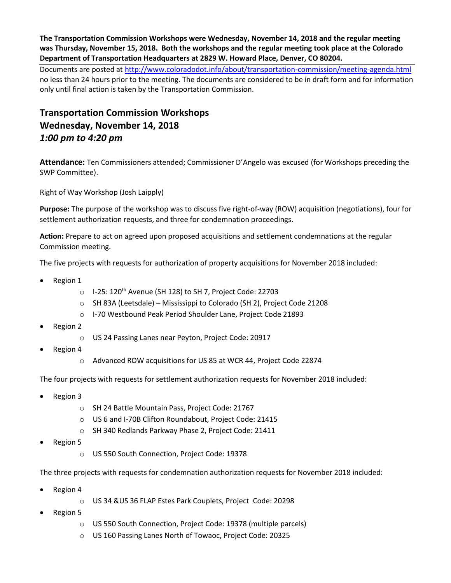**The Transportation Commission Workshops were Wednesday, November 14, 2018 and the regular meeting was Thursday, November 15, 2018. Both the workshops and the regular meeting took place at the Colorado Department of Transportation Headquarters at 2829 W. Howard Place, Denver, CO 80204.**

Documents are posted at http://www.coloradodot.info/about/transportation-commission/meeting-agenda.html no less than 24 hours prior to the meeting. The documents are considered to be in draft form and for information only until final action is taken by the Transportation Commission.

# **Transportation Commission Workshops Wednesday, November 14, 2018** *1:00 pm to 4:20 pm*

**Attendance:** Ten Commissioners attended; Commissioner D'Angelo was excused (for Workshops preceding the SWP Committee).

# [Right of Way Workshop \(Josh Laipply\)](https://www.codot.gov/about/transportation-commission/documents/2018-agendas-and-supporting-documents/september-2018/tc-row-2018-9-final.pdf)

**Purpose:** The purpose of the workshop was to discuss five right-of-way (ROW) acquisition (negotiations), four for settlement authorization requests, and three for condemnation proceedings.

**Action:** Prepare to act on agreed upon proposed acquisitions and settlement condemnations at the regular Commission meeting.

The five projects with requests for authorization of property acquisitions for November 2018 included:

- Region 1
	- $\circ$  I-25: 120<sup>th</sup> Avenue (SH 128) to SH 7, Project Code: 22703
	- o SH 83A (Leetsdale) Mississippi to Colorado (SH 2), Project Code 21208
	- o I-70 Westbound Peak Period Shoulder Lane, Project Code 21893
- Region 2
	- o US 24 Passing Lanes near Peyton, Project Code: 20917
- Region 4
	- o Advanced ROW acquisitions for US 85 at WCR 44, Project Code 22874

The four projects with requests for settlement authorization requests for November 2018 included:

- Region 3
	- o SH 24 Battle Mountain Pass, Project Code: 21767
	- o US 6 and I-70B Clifton Roundabout, Project Code: 21415
	- o SH 340 Redlands Parkway Phase 2, Project Code: 21411
- Region 5
	- o US 550 South Connection, Project Code: 19378

The three projects with requests for condemnation authorization requests for November 2018 included:

- Region 4
	- o US 34 &US 36 FLAP Estes Park Couplets, Project Code: 20298
- Region 5
	- o US 550 South Connection, Project Code: 19378 (multiple parcels)
	- o US 160 Passing Lanes North of Towaoc, Project Code: 20325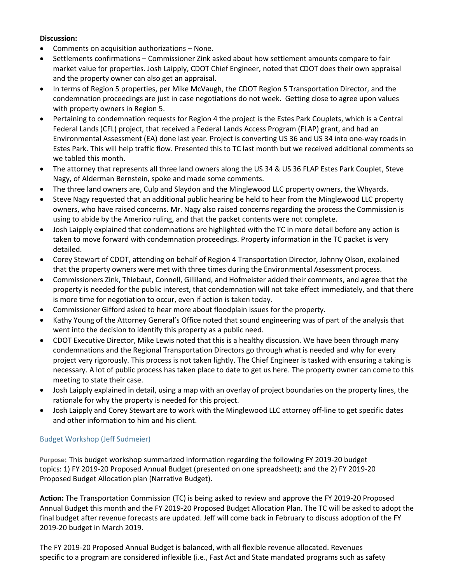### **Discussion:**

- Comments on acquisition authorizations None.
- Settlements confirmations Commissioner Zink asked about how settlement amounts compare to fair market value for properties. Josh Laipply, CDOT Chief Engineer, noted that CDOT does their own appraisal and the property owner can also get an appraisal.
- In terms of Region 5 properties, per Mike McVaugh, the CDOT Region 5 Transportation Director, and the condemnation proceedings are just in case negotiations do not week. Getting close to agree upon values with property owners in Region 5.
- Pertaining to condemnation requests for Region 4 the project is the Estes Park Couplets, which is a Central Federal Lands (CFL) project, that received a Federal Lands Access Program (FLAP) grant, and had an Environmental Assessment (EA) done last year. Project is converting US 36 and US 34 into one-way roads in Estes Park. This will help traffic flow. Presented this to TC last month but we received additional comments so we tabled this month.
- The attorney that represents all three land owners along the US 34 & US 36 FLAP Estes Park Couplet, Steve Nagy, of Alderman Bernstein, spoke and made some comments.
- The three land owners are, Culp and Slaydon and the Minglewood LLC property owners, the Whyards.
- Steve Nagy requested that an additional public hearing be held to hear from the Minglewood LLC property owners, who have raised concerns. Mr. Nagy also raised concerns regarding the process the Commission is using to abide by the Americo ruling, and that the packet contents were not complete.
- Josh Laipply explained that condemnations are highlighted with the TC in more detail before any action is taken to move forward with condemnation proceedings. Property information in the TC packet is very detailed.
- Corey Stewart of CDOT, attending on behalf of Region 4 Transportation Director, Johnny Olson, explained that the property owners were met with three times during the Environmental Assessment process.
- Commissioners Zink, Thiebaut, Connell, Gilliland, and Hofmeister added their comments, and agree that the property is needed for the public interest, that condemnation will not take effect immediately, and that there is more time for negotiation to occur, even if action is taken today.
- Commissioner Gifford asked to hear more about floodplain issues for the property.
- Kathy Young of the Attorney General's Office noted that sound engineering was of part of the analysis that went into the decision to identify this property as a public need.
- CDOT Executive Director, Mike Lewis noted that this is a healthy discussion. We have been through many condemnations and the Regional Transportation Directors go through what is needed and why for every project very rigorously. This process is not taken lightly. The Chief Engineer is tasked with ensuring a taking is necessary. A lot of public process has taken place to date to get us here. The property owner can come to this meeting to state their case.
- Josh Laipply explained in detail, using a map with an overlay of project boundaries on the property lines, the rationale for why the property is needed for this project.
- Josh Laipply and Corey Stewart are to work with the Minglewood LLC attorney off-line to get specific dates and other information to him and his client.

# [Budget Workshop \(Jeff Sudmeier\)](https://www.codot.gov/about/transportation-commission/documents/2018-agendas-and-supporting-documents/october-2018/1-budget-workshop.pdf)

**Purpose:** This budget workshop summarized information regarding the following FY 2019-20 budget topics: 1) FY 2019-20 Proposed Annual Budget (presented on one spreadsheet); and the 2) FY 2019-20 Proposed Budget Allocation plan (Narrative Budget).

**Action:** The Transportation Commission (TC) is being asked to review and approve the FY 2019-20 Proposed Annual Budget this month and the FY 2019-20 Proposed Budget Allocation Plan. The TC will be asked to adopt the final budget after revenue forecasts are updated. Jeff will come back in February to discuss adoption of the FY 2019-20 budget in March 2019.

The FY 2019-20 Proposed Annual Budget is balanced, with all flexible revenue allocated. Revenues specific to a program are considered inflexible (i.e., Fast Act and State mandated programs such as safety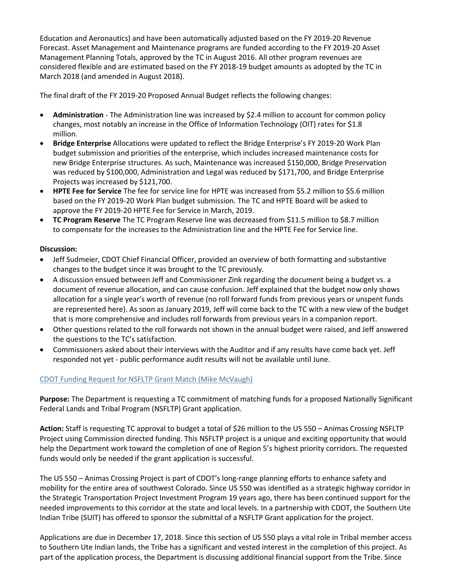Education and Aeronautics) and have been automatically adjusted based on the FY 2019-20 Revenue Forecast. Asset Management and Maintenance programs are funded according to the FY 2019-20 Asset Management Planning Totals, approved by the TC in August 2016. All other program revenues are considered flexible and are estimated based on the FY 2018-19 budget amounts as adopted by the TC in March 2018 (and amended in August 2018).

The final draft of the FY 2019-20 Proposed Annual Budget reflects the following changes:

- **Administration**  The Administration line was increased by \$2.4 million to account for common policy changes, most notably an increase in the Office of Information Technology (OIT) rates for \$1.8 million.
- **Bridge Enterprise** Allocations were updated to reflect the Bridge Enterprise's FY 2019-20 Work Plan budget submission and priorities of the enterprise, which includes increased maintenance costs for new Bridge Enterprise structures. As such, Maintenance was increased \$150,000, Bridge Preservation was reduced by \$100,000, Administration and Legal was reduced by \$171,700, and Bridge Enterprise Projects was increased by \$121,700.
- **HPTE Fee for Service** The fee for service line for HPTE was increased from \$5.2 million to \$5.6 million based on the FY 2019-20 Work Plan budget submission. The TC and HPTE Board will be asked to approve the FY 2019-20 HPTE Fee for Service in March, 2019.
- **TC Program Reserve** The TC Program Reserve line was decreased from \$11.5 million to \$8.7 million to compensate for the increases to the Administration line and the HPTE Fee for Service line.

### **Discussion:**

- Jeff Sudmeier, CDOT Chief Financial Officer, provided an overview of both formatting and substantive changes to the budget since it was brought to the TC previously.
- A discussion ensued between Jeff and Commissioner Zink regarding the document being a budget vs. a document of revenue allocation, and can cause confusion. Jeff explained that the budget now only shows allocation for a single year's worth of revenue (no roll forward funds from previous years or unspent funds are represented here). As soon as January 2019, Jeff will come back to the TC with a new view of the budget that is more comprehensive and includes roll forwards from previous years in a companion report.
- Other questions related to the roll forwards not shown in the annual budget were raised, and Jeff answered the questions to the TC's satisfaction.
- Commissioners asked about their interviews with the Auditor and if any results have come back yet. Jeff responded not yet - public performance audit results will not be available until June.

# CDOT [Funding Request for NSFLTP Grant Match \(Mike McVaugh\)](https://www.codot.gov/about/transportation-commission/documents/2018-agendas-and-supporting-documents/november-2018-1/5-funding-request-nsfltp.pdf)

**Purpose:** The Department is requesting a TC commitment of matching funds for a proposed Nationally Significant Federal Lands and Tribal Program (NSFLTP) Grant application.

**Action:** Staff is requesting TC approval to budget a total of \$26 million to the US 550 – Animas Crossing NSFLTP Project using Commission directed funding. This NSFLTP project is a unique and exciting opportunity that would help the Department work toward the completion of one of Region 5's highest priority corridors. The requested funds would only be needed if the grant application is successful.

The US 550 – Animas Crossing Project is part of CDOT's long-range planning efforts to enhance safety and mobility for the entire area of southwest Colorado. Since US 550 was identified as a strategic highway corridor in the Strategic Transportation Project Investment Program 19 years ago, there has been continued support for the needed improvements to this corridor at the state and local levels. In a partnership with CDOT, the Southern Ute Indian Tribe (SUIT) has offered to sponsor the submittal of a NSFLTP Grant application for the project.

Applications are due in December 17, 2018. Since this section of US 550 plays a vital role in Tribal member access to Southern Ute Indian lands, the Tribe has a significant and vested interest in the completion of this project. As part of the application process, the Department is discussing additional financial support from the Tribe. Since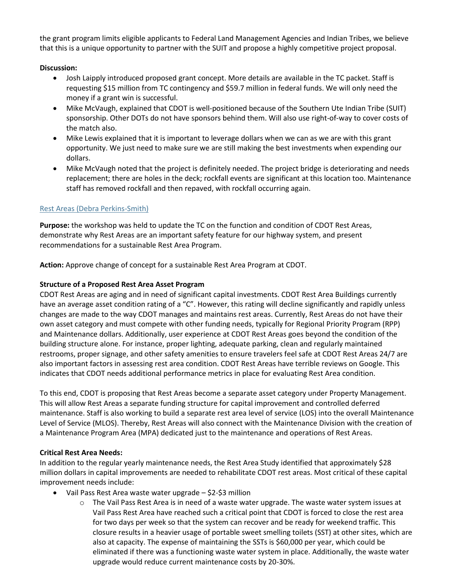the grant program limits eligible applicants to Federal Land Management Agencies and Indian Tribes, we believe that this is a unique opportunity to partner with the SUIT and propose a highly competitive project proposal.

# **Discussion:**

- Josh Laipply introduced proposed grant concept. More details are available in the TC packet. Staff is requesting \$15 million from TC contingency and \$59.7 million in federal funds. We will only need the money if a grant win is successful.
- Mike McVaugh, explained that CDOT is well-positioned because of the Southern Ute Indian Tribe (SUIT) sponsorship. Other DOTs do not have sponsors behind them. Will also use right-of-way to cover costs of the match also.
- Mike Lewis explained that it is important to leverage dollars when we can as we are with this grant opportunity. We just need to make sure we are still making the best investments when expending our dollars.
- Mike McVaugh noted that the project is definitely needed. The project bridge is deteriorating and needs replacement; there are holes in the deck; rockfall events are significant at this location too. Maintenance [staff has removed rockfall and then repaved, with rockfall occurring](https://www.codot.gov/about/transportation-commission/documents/2018-agendas-and-supporting-documents/november-2018-1/6-rest-areas.pdf) again.

# [Rest Areas \(Debra Perkins-Smith\)](https://www.codot.gov/about/transportation-commission/documents/2018-agendas-and-supporting-documents/november-2018-1/6-rest-areas.pdf)

**Purpose:** the workshop was held to update the TC on the function and condition of CDOT Rest Areas, demonstrate why Rest Areas are an important safety feature for our highway system, and present recommendations for a sustainable Rest Area Program.

**Action:** Approve change of concept for a sustainable Rest Area Program at CDOT.

# **Structure of a Proposed Rest Area Asset Program**

CDOT Rest Areas are aging and in need of significant capital investments. CDOT Rest Area Buildings currently have an average asset condition rating of a "C". However, this rating will decline significantly and rapidly unless changes are made to the way CDOT manages and maintains rest areas. Currently, Rest Areas do not have their own asset category and must compete with other funding needs, typically for Regional Priority Program (RPP) and Maintenance dollars. Additionally, user experience at CDOT Rest Areas goes beyond the condition of the building structure alone. For instance, proper lighting, adequate parking, clean and regularly maintained restrooms, proper signage, and other safety amenities to ensure travelers feel safe at CDOT Rest Areas 24/7 are also important factors in assessing rest area condition. CDOT Rest Areas have terrible reviews on Google. This indicates that CDOT needs additional performance metrics in place for evaluating Rest Area condition.

To this end, CDOT is proposing that Rest Areas become a separate asset category under Property Management. This will allow Rest Areas a separate funding structure for capital improvement and controlled deferred maintenance. Staff is also working to build a separate rest area level of service (LOS) into the overall Maintenance Level of Service (MLOS). Thereby, Rest Areas will also connect with the Maintenance Division with the creation of a Maintenance Program Area (MPA) dedicated just to the maintenance and operations of Rest Areas.

# **Critical Rest Area Needs:**

In addition to the regular yearly maintenance needs, the Rest Area Study identified that approximately \$28 million dollars in capital improvements are needed to rehabilitate CDOT rest areas. Most critical of these capital improvement needs include:

- Vail Pass Rest Area waste water upgrade \$2-\$3 million
	- $\circ$  The Vail Pass Rest Area is in need of a waste water upgrade. The waste water system issues at Vail Pass Rest Area have reached such a critical point that CDOT is forced to close the rest area for two days per week so that the system can recover and be ready for weekend traffic. This closure results in a heavier usage of portable sweet smelling toilets (SST) at other sites, which are also at capacity. The expense of maintaining the SSTs is \$60,000 per year, which could be eliminated if there was a functioning waste water system in place. Additionally, the waste water upgrade would reduce current maintenance costs by 20-30%.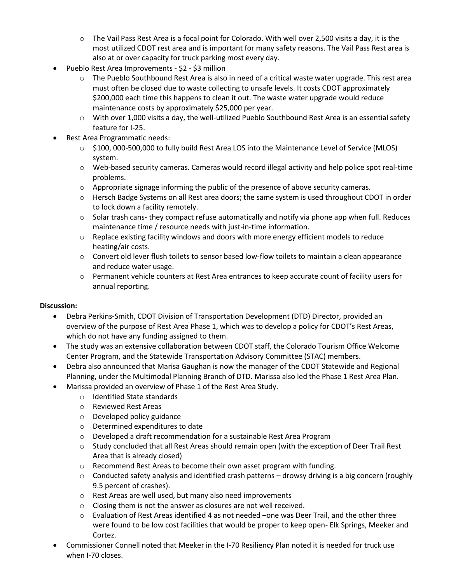- $\circ$  The Vail Pass Rest Area is a focal point for Colorado. With well over 2,500 visits a day, it is the most utilized CDOT rest area and is important for many safety reasons. The Vail Pass Rest area is also at or over capacity for truck parking most every day.
- Pueblo Rest Area Improvements \$2 \$3 million
	- o The Pueblo Southbound Rest Area is also in need of a critical waste water upgrade. This rest area must often be closed due to waste collecting to unsafe levels. It costs CDOT approximately \$200,000 each time this happens to clean it out. The waste water upgrade would reduce maintenance costs by approximately \$25,000 per year.
	- o With over 1,000 visits a day, the well-utilized Pueblo Southbound Rest Area is an essential safety feature for I-25.
- Rest Area Programmatic needs:
	- o \$100, 000-500,000 to fully build Rest Area LOS into the Maintenance Level of Service (MLOS) system.
	- $\circ$  Web-based security cameras. Cameras would record illegal activity and help police spot real-time problems.
	- $\circ$  Appropriate signage informing the public of the presence of above security cameras.
	- o Hersch Badge Systems on all Rest area doors; the same system is used throughout CDOT in order to lock down a facility remotely.
	- $\circ$  Solar trash cans- they compact refuse automatically and notify via phone app when full. Reduces maintenance time / resource needs with just-in-time information.
	- $\circ$  Replace existing facility windows and doors with more energy efficient models to reduce heating/air costs.
	- $\circ$  Convert old lever flush toilets to sensor based low-flow toilets to maintain a clean appearance and reduce water usage.
	- o Permanent vehicle counters at Rest Area entrances to keep accurate count of facility users for annual reporting.

#### **Discussion:**

- Debra Perkins-Smith, CDOT Division of Transportation Development (DTD) Director, provided an overview of the purpose of Rest Area Phase 1, which was to develop a policy for CDOT's Rest Areas, which do not have any funding assigned to them.
- The study was an extensive collaboration between CDOT staff, the Colorado Tourism Office Welcome Center Program, and the Statewide Transportation Advisory Committee (STAC) members.
- Debra also announced that Marisa Gaughan is now the manager of the CDOT Statewide and Regional Planning, under the Multimodal Planning Branch of DTD. Marissa also led the Phase 1 Rest Area Plan.
	- Marissa provided an overview of Phase 1 of the Rest Area Study.
		- o Identified State standards
		- o Reviewed Rest Areas
		- o Developed policy guidance
		- o Determined expenditures to date
		- o Developed a draft recommendation for a sustainable Rest Area Program
		- $\circ$  Study concluded that all Rest Areas should remain open (with the exception of Deer Trail Rest Area that is already closed)
		- o Recommend Rest Areas to become their own asset program with funding.
		- $\circ$  Conducted safety analysis and identified crash patterns drowsy driving is a big concern (roughly 9.5 percent of crashes).
		- o Rest Areas are well used, but many also need improvements
		- o Closing them is not the answer as closures are not well received.
		- $\circ$  Evaluation of Rest Areas identified 4 as not needed –one was Deer Trail, and the other three were found to be low cost facilities that would be proper to keep open- Elk Springs, Meeker and Cortez.
- Commissioner Connell noted that Meeker in the I-70 Resiliency Plan noted it is needed for truck use when I-70 closes.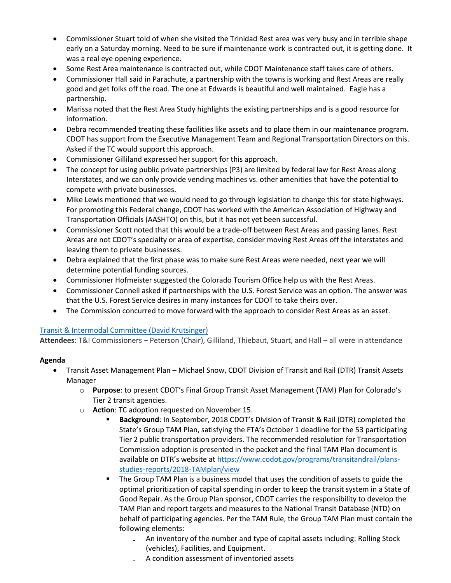- Commissioner Stuart told of when she visited the Trinidad Rest area was very busy and in terrible shape early on a Saturday morning. Need to be sure if maintenance work is contracted out, it is getting done. It was a real eye opening experience.
- Some Rest Area maintenance is contracted out, while CDOT Maintenance staff takes care of others.
- Commissioner Hall said in Parachute, a partnership with the towns is working and Rest Areas are really good and get folks off the road. The one at Edwards is beautiful and well maintained. Eagle has a partnership.
- Marissa noted that the Rest Area Study highlights the existing partnerships and is a good resource for information.
- Debra recommended treating these facilities like assets and to place them in our maintenance program. CDOT has support from the Executive Management Team and Regional Transportation Directors on this. Asked if the TC would support this approach.
- Commissioner Gilliland expressed her support for this approach.
- The concept for using public private partnerships (P3) are limited by federal law for Rest Areas along Interstates, and we can only provide vending machines vs. other amenities that have the potential to compete with private businesses.
- Mike Lewis mentioned that we would need to go through legislation to change this for state highways. For promoting this Federal change, CDOT has worked with the American Association of Highway and Transportation Officials (AASHTO) on this, but it has not yet been successful.
- Commissioner Scott noted that this would be a trade-off between Rest Areas and passing lanes. Rest Areas are not CDOT's specialty or area of expertise, consider moving Rest Areas off the interstates and leaving them to private businesses.
- Debra explained that the first phase was to make sure Rest Areas were needed, next year we will determine potential funding sources.
- Commissioner Hofmeister suggested the Colorado Tourism Office help us with the Rest Areas.
- Commissioner Connell asked if partnerships with the U.S. Forest Service was an option. The answer was that the U.S. Forest Service desires in many instances for CDOT to take theirs over.
- The Commission concurred to move forward with the approach to consider Rest Areas as an asset.

# [Transit & Intermodal Committee \(David Krutsinger\)](https://www.codot.gov/about/transportation-commission/documents/2018-agendas-and-supporting-documents/november-2018-1/7-t-i-committee.pdf)

**Attendees**: T&I Commissioners – Peterson (Chair), Gilliland, Thiebaut, Stuart, and Hall – all were in attendance

# **Agenda**

- Transit Asset Management Plan Michael Snow, CDOT Division of Transit and Rail (DTR) Transit Assets Manager
	- o **Purpose**: to present CDOT's Final Group Transit Asset Management (TAM) Plan for Colorado's Tier 2 transit agencies.
	- o **Action**: TC adoption requested on November 15.
		- **Background**: In September, 2018 CDOT's Division of Transit & Rail (DTR) completed the State's Group TAM Plan, satisfying the FTA's October 1 deadline for the 53 participating Tier 2 public transportation providers. The recommended resolution for Transportation Commission adoption is presented in the packet and the final TAM Plan document is available on DTR's website at [https://www.codot.gov/programs/transitandrail/plans](https://www.codot.gov/programs/transitandrail/plans-studies-reports/2018-TAMplan/view)[studies-reports/2018-TAMplan/view](https://www.codot.gov/programs/transitandrail/plans-studies-reports/2018-TAMplan/view)
		- The Group TAM Plan is a business model that uses the condition of assets to guide the optimal prioritization of capital spending in order to keep the transit system in a State of Good Repair. As the Group Plan sponsor, CDOT carries the responsibility to develop the TAM Plan and report targets and measures to the National Transit Database (NTD) on behalf of participating agencies. Per the TAM Rule, the Group TAM Plan must contain the following elements:
			- An inventory of the number and type of capital assets including: Rolling Stock (vehicles), Facilities, and Equipment.
			- ₋ A condition assessment of inventoried assets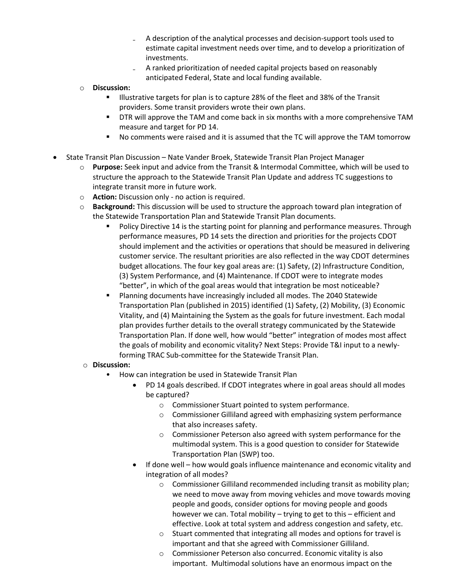- ₋ A description of the analytical processes and decision-support tools used to estimate capital investment needs over time, and to develop a prioritization of investments.
- ₋ A ranked prioritization of needed capital projects based on reasonably anticipated Federal, State and local funding available.
- o **Discussion:**
	- Illustrative targets for plan is to capture 28% of the fleet and 38% of the Transit providers. Some transit providers wrote their own plans.
	- DTR will approve the TAM and come back in six months with a more comprehensive TAM measure and target for PD 14.
	- No comments were raised and it is assumed that the TC will approve the TAM tomorrow
- State Transit Plan Discussion Nate Vander Broek, Statewide Transit Plan Project Manager
	- o **Purpose:** Seek input and advice from the Transit & Intermodal Committee, which will be used to structure the approach to the Statewide Transit Plan Update and address TC suggestions to integrate transit more in future work.
	- o **Action:** Discussion only no action is required.
	- o **Background:** This discussion will be used to structure the approach toward plan integration of the Statewide Transportation Plan and Statewide Transit Plan documents.
		- Policy Directive 14 is the starting point for planning and performance measures. Through performance measures, PD 14 sets the direction and priorities for the projects CDOT should implement and the activities or operations that should be measured in delivering customer service. The resultant priorities are also reflected in the way CDOT determines budget allocations. The four key goal areas are: (1) Safety, (2) Infrastructure Condition, (3) System Performance, and (4) Maintenance. If CDOT were to integrate modes "better", in which of the goal areas would that integration be most noticeable?
		- Planning documents have increasingly included all modes. The 2040 Statewide Transportation Plan (published in 2015) identified (1) Safety, (2) Mobility, (3) Economic Vitality, and (4) Maintaining the System as the goals for future investment. Each modal plan provides further details to the overall strategy communicated by the Statewide Transportation Plan. If done well, how would "better" integration of modes most affect the goals of mobility and economic vitality? Next Steps: Provide T&I input to a newlyforming TRAC Sub-committee for the Statewide Transit Plan.
	- o **Discussion:**
		- How can integration be used in Statewide Transit Plan
			- PD 14 goals described. If CDOT integrates where in goal areas should all modes be captured?
				- o Commissioner Stuart pointed to system performance.
				- o Commissioner Gilliland agreed with emphasizing system performance that also increases safety.
				- $\circ$  Commissioner Peterson also agreed with system performance for the multimodal system. This is a good question to consider for Statewide Transportation Plan (SWP) too.
			- If done well how would goals influence maintenance and economic vitality and integration of all modes?
				- o Commissioner Gilliland recommended including transit as mobility plan; we need to move away from moving vehicles and move towards moving people and goods, consider options for moving people and goods however we can. Total mobility – trying to get to this – efficient and effective. Look at total system and address congestion and safety, etc.
				- o Stuart commented that integrating all modes and options for travel is important and that she agreed with Commissioner Gilliland.
				- o Commissioner Peterson also concurred. Economic vitality is also important. Multimodal solutions have an enormous impact on the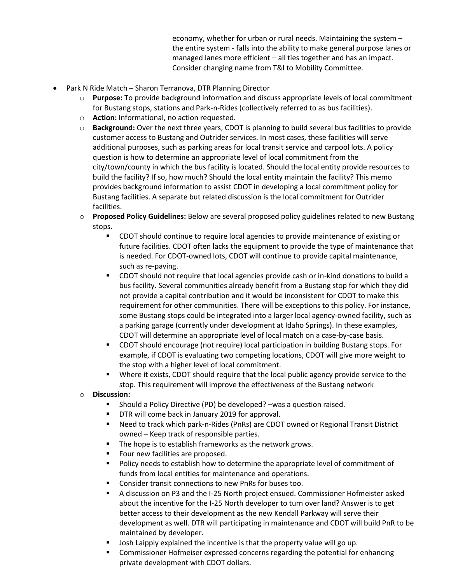economy, whether for urban or rural needs. Maintaining the system – the entire system - falls into the ability to make general purpose lanes or managed lanes more efficient – all ties together and has an impact. Consider changing name from T&I to Mobility Committee.

- Park N Ride Match Sharon Terranova, DTR Planning Director
	- o **Purpose:** To provide background information and discuss appropriate levels of local commitment for Bustang stops, stations and Park-n-Rides (collectively referred to as bus facilities).
	- o **Action:** Informational, no action requested.
	- o **Background:** Over the next three years, CDOT is planning to build several bus facilities to provide customer access to Bustang and Outrider services. In most cases, these facilities will serve additional purposes, such as parking areas for local transit service and carpool lots. A policy question is how to determine an appropriate level of local commitment from the city/town/county in which the bus facility is located. Should the local entity provide resources to build the facility? If so, how much? Should the local entity maintain the facility? This memo provides background information to assist CDOT in developing a local commitment policy for Bustang facilities. A separate but related discussion is the local commitment for Outrider facilities.
	- o **Proposed Policy Guidelines:** Below are several proposed policy guidelines related to new Bustang stops.
		- CDOT should continue to require local agencies to provide maintenance of existing or future facilities. CDOT often lacks the equipment to provide the type of maintenance that is needed. For CDOT-owned lots, CDOT will continue to provide capital maintenance, such as re-paving.
		- CDOT should not require that local agencies provide cash or in-kind donations to build a bus facility. Several communities already benefit from a Bustang stop for which they did not provide a capital contribution and it would be inconsistent for CDOT to make this requirement for other communities. There will be exceptions to this policy. For instance, some Bustang stops could be integrated into a larger local agency-owned facility, such as a parking garage (currently under development at Idaho Springs). In these examples, CDOT will determine an appropriate level of local match on a case-by-case basis.
		- CDOT should encourage (not require) local participation in building Bustang stops. For example, if CDOT is evaluating two competing locations, CDOT will give more weight to the stop with a higher level of local commitment.
		- Where it exists, CDOT should require that the local public agency provide service to the stop. This requirement will improve the effectiveness of the Bustang network
	- o **Discussion:**
		- Should a Policy Directive (PD) be developed? –was a question raised.
		- **DTR will come back in January 2019 for approval.**
		- Need to track which park-n-Rides (PnRs) are CDOT owned or Regional Transit District owned – Keep track of responsible parties.
		- **The hope is to establish frameworks as the network grows.**
		- **Figure 1** Four new facilities are proposed.
		- **Policy needs to establish how to determine the appropriate level of commitment of** funds from local entities for maintenance and operations.
		- Consider transit connections to new PnRs for buses too.
		- A discussion on P3 and the I-25 North project ensued. Commissioner Hofmeister asked about the incentive for the I-25 North developer to turn over land? Answer is to get better access to their development as the new Kendall Parkway will serve their development as well. DTR will participating in maintenance and CDOT will build PnR to be maintained by developer.
		- Josh Laipply explained the incentive is that the property value will go up.
		- Commissioner Hofmeiser expressed concerns regarding the potential for enhancing private development with CDOT dollars.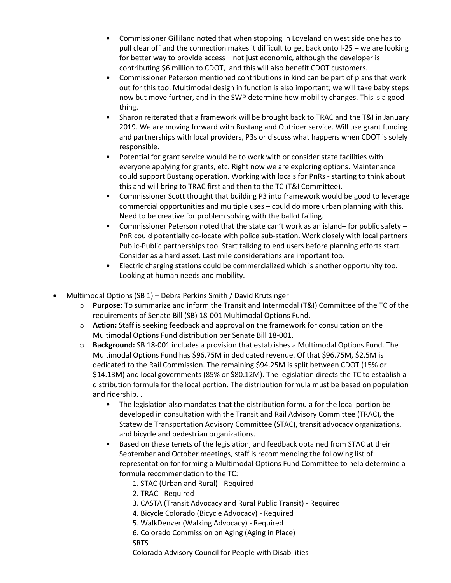- Commissioner Gilliland noted that when stopping in Loveland on west side one has to pull clear off and the connection makes it difficult to get back onto I-25 – we are looking for better way to provide access – not just economic, although the developer is contributing \$6 million to CDOT, and this will also benefit CDOT customers.
- Commissioner Peterson mentioned contributions in kind can be part of plans that work out for this too. Multimodal design in function is also important; we will take baby steps now but move further, and in the SWP determine how mobility changes. This is a good thing.
- Sharon reiterated that a framework will be brought back to TRAC and the T&I in January 2019. We are moving forward with Bustang and Outrider service. Will use grant funding and partnerships with local providers, P3s or discuss what happens when CDOT is solely responsible.
- Potential for grant service would be to work with or consider state facilities with everyone applying for grants, etc. Right now we are exploring options. Maintenance could support Bustang operation. Working with locals for PnRs - starting to think about this and will bring to TRAC first and then to the TC (T&I Committee).
- Commissioner Scott thought that building P3 into framework would be good to leverage commercial opportunities and multiple uses – could do more urban planning with this. Need to be creative for problem solving with the ballot failing.
- Commissioner Peterson noted that the state can't work as an island– for public safety PnR could potentially co-locate with police sub-station. Work closely with local partners – Public-Public partnerships too. Start talking to end users before planning efforts start. Consider as a hard asset. Last mile considerations are important too.
- Electric charging stations could be commercialized which is another opportunity too. Looking at human needs and mobility.
- Multimodal Options (SB 1) Debra Perkins Smith / David Krutsinger
	- o **Purpose:** To summarize and inform the Transit and Intermodal (T&I) Committee of the TC of the requirements of Senate Bill (SB) 18-001 Multimodal Options Fund.
	- o **Action:** Staff is seeking feedback and approval on the framework for consultation on the Multimodal Options Fund distribution per Senate Bill 18-001.
	- o **Background:** SB 18-001 includes a provision that establishes a Multimodal Options Fund. The Multimodal Options Fund has \$96.75M in dedicated revenue. Of that \$96.75M, \$2.5M is dedicated to the Rail Commission. The remaining \$94.25M is split between CDOT (15% or \$14.13M) and local governments (85% or \$80.12M). The legislation directs the TC to establish a distribution formula for the local portion. The distribution formula must be based on population and ridership. .
		- The legislation also mandates that the distribution formula for the local portion be developed in consultation with the Transit and Rail Advisory Committee (TRAC), the Statewide Transportation Advisory Committee (STAC), transit advocacy organizations, and bicycle and pedestrian organizations.
		- Based on these tenets of the legislation, and feedback obtained from STAC at their September and October meetings, staff is recommending the following list of representation for forming a Multimodal Options Fund Committee to help determine a formula recommendation to the TC:
			- 1. STAC (Urban and Rural) Required
			- 2. TRAC Required
			- 3. CASTA (Transit Advocacy and Rural Public Transit) Required
			- 4. Bicycle Colorado (Bicycle Advocacy) Required
			- 5. WalkDenver (Walking Advocacy) Required
			- 6. Colorado Commission on Aging (Aging in Place) SRTS
			- Colorado Advisory Council for People with Disabilities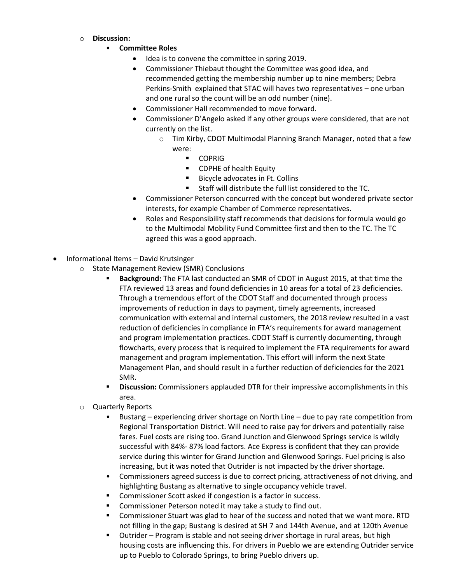- o **Discussion:**
	- **Committee Roles**
		- Idea is to convene the committee in spring 2019.
		- Commissioner Thiebaut thought the Committee was good idea, and recommended getting the membership number up to nine members; Debra Perkins-Smith explained that STAC will haves two representatives – one urban and one rural so the count will be an odd number (nine).
		- Commissioner Hall recommended to move forward.
		- Commissioner D'Angelo asked if any other groups were considered, that are not currently on the list.
			- o Tim Kirby, CDOT Multimodal Planning Branch Manager, noted that a few were:
				- **COPRIG**
				- **EXECUTE:** CDPHE of health Equity
				- **Bicycle advocates in Ft. Collins**
				- Staff will distribute the full list considered to the TC.
		- Commissioner Peterson concurred with the concept but wondered private sector interests, for example Chamber of Commerce representatives.
		- Roles and Responsibility staff recommends that decisions for formula would go to the Multimodal Mobility Fund Committee first and then to the TC. The TC agreed this was a good approach.
- Informational Items David Krutsinger
	- o State Management Review (SMR) Conclusions
		- **Background:** The FTA last conducted an SMR of CDOT in August 2015, at that time the FTA reviewed 13 areas and found deficiencies in 10 areas for a total of 23 deficiencies. Through a tremendous effort of the CDOT Staff and documented through process improvements of reduction in days to payment, timely agreements, increased communication with external and internal customers, the 2018 review resulted in a vast reduction of deficiencies in compliance in FTA's requirements for award management and program implementation practices. CDOT Staff is currently documenting, through flowcharts, every process that is required to implement the FTA requirements for award management and program implementation. This effort will inform the next State Management Plan, and should result in a further reduction of deficiencies for the 2021 SMR.
		- **Discussion:** Commissioners applauded DTR for their impressive accomplishments in this area.
	- o Quarterly Reports
		- Bustang experiencing driver shortage on North Line due to pay rate competition from Regional Transportation District. Will need to raise pay for drivers and potentially raise fares. Fuel costs are rising too. Grand Junction and Glenwood Springs service is wildly successful with 84%- 87% load factors. Ace Express is confident that they can provide service during this winter for Grand Junction and Glenwood Springs. Fuel pricing is also increasing, but it was noted that Outrider is not impacted by the driver shortage.
		- Commissioners agreed success is due to correct pricing, attractiveness of not driving, and highlighting Bustang as alternative to single occupancy vehicle travel.
		- **Commissioner Scott asked if congestion is a factor in success.**
		- Commissioner Peterson noted it may take a study to find out.
		- Commissioner Stuart was glad to hear of the success and noted that we want more. RTD not filling in the gap; Bustang is desired at SH 7 and 144th Avenue, and at 120th Avenue
		- Outrider Program is stable and not seeing driver shortage in rural areas, but high housing costs are influencing this. For drivers in Pueblo we are extending Outrider service up to Pueblo to Colorado Springs, to bring Pueblo drivers up.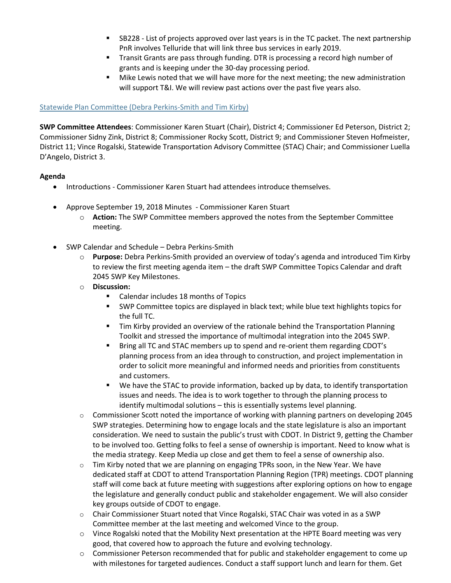- SB228 List of projects approved over last years is in the TC packet. The next partnership PnR involves Telluride that will link three bus services in early 2019.
- Transit Grants are pass through funding. DTR is processing a record high number of grants and is keeping under the 30-day processing period.
- Mike Lewis noted that we will have more for the next meeting; the new administration will support T&I. We will review past actions over the past five years also.

# [Statewide Plan Committee \(Debra Perkins-Smith and Tim Kirby\)](https://www.codot.gov/about/transportation-commission/documents/2018-agendas-and-supporting-documents/november-2018-1/8-statewide-plan-committee.pdf)

**SWP Committee Attendees**: Commissioner Karen Stuart (Chair), District 4; Commissioner Ed Peterson, District 2; Commissioner Sidny Zink, District 8; Commissioner Rocky Scott, District 9; and Commissioner Steven Hofmeister, District 11; Vince Rogalski, Statewide Transportation Advisory Committee (STAC) Chair; and Commissioner Luella D'Angelo, District 3.

### **Agenda**

- Introductions Commissioner Karen Stuart had attendees introduce themselves.
- Approve September 19, 2018 Minutes Commissioner Karen Stuart
	- o **Action:** The SWP Committee members approved the notes from the September Committee meeting.
- SWP Calendar and Schedule Debra Perkins-Smith
	- o **Purpose:** Debra Perkins-Smith provided an overview of today's agenda and introduced Tim Kirby to review the first meeting agenda item – the draft SWP Committee Topics Calendar and draft 2045 SWP Key Milestones.
	- o **Discussion:**
		- Calendar includes 18 months of Topics
		- SWP Committee topics are displayed in black text; while blue text highlights topics for the full TC.
		- Tim Kirby provided an overview of the rationale behind the Transportation Planning Toolkit and stressed the importance of multimodal integration into the 2045 SWP.
		- Bring all TC and STAC members up to spend and re-orient them regarding CDOT's planning process from an idea through to construction, and project implementation in order to solicit more meaningful and informed needs and priorities from constituents and customers.
		- We have the STAC to provide information, backed up by data, to identify transportation issues and needs. The idea is to work together to through the planning process to identify multimodal solutions – this is essentially systems level planning.
	- $\circ$  Commissioner Scott noted the importance of working with planning partners on developing 2045 SWP strategies. Determining how to engage locals and the state legislature is also an important consideration. We need to sustain the public's trust with CDOT. In District 9, getting the Chamber to be involved too. Getting folks to feel a sense of ownership is important. Need to know what is the media strategy. Keep Media up close and get them to feel a sense of ownership also.
	- $\circ$  Tim Kirby noted that we are planning on engaging TPRs soon, in the New Year. We have dedicated staff at CDOT to attend Transportation Planning Region (TPR) meetings. CDOT planning staff will come back at future meeting with suggestions after exploring options on how to engage the legislature and generally conduct public and stakeholder engagement. We will also consider key groups outside of CDOT to engage.
	- o Chair Commissioner Stuart noted that Vince Rogalski, STAC Chair was voted in as a SWP Committee member at the last meeting and welcomed Vince to the group.
	- $\circ$  Vince Rogalski noted that the Mobility Next presentation at the HPTE Board meeting was very good, that covered how to approach the future and evolving technology.
	- $\circ$  Commissioner Peterson recommended that for public and stakeholder engagement to come up with milestones for targeted audiences. Conduct a staff support lunch and learn for them. Get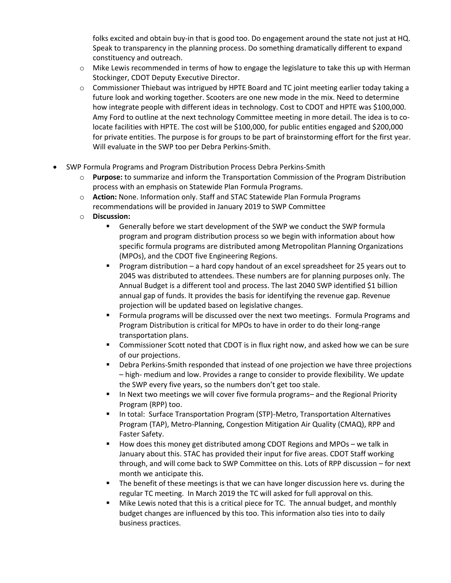folks excited and obtain buy-in that is good too. Do engagement around the state not just at HQ. Speak to transparency in the planning process. Do something dramatically different to expand constituency and outreach.

- $\circ$  Mike Lewis recommended in terms of how to engage the legislature to take this up with Herman Stockinger, CDOT Deputy Executive Director.
- $\circ$  Commissioner Thiebaut was intrigued by HPTE Board and TC joint meeting earlier today taking a future look and working together. Scooters are one new mode in the mix. Need to determine how integrate people with different ideas in technology. Cost to CDOT and HPTE was \$100,000. Amy Ford to outline at the next technology Committee meeting in more detail. The idea is to colocate facilities with HPTE. The cost will be \$100,000, for public entities engaged and \$200,000 for private entities. The purpose is for groups to be part of brainstorming effort for the first year. Will evaluate in the SWP too per Debra Perkins-Smith.
- SWP Formula Programs and Program Distribution Process Debra Perkins-Smith
	- o **Purpose:** to summarize and inform the Transportation Commission of the Program Distribution process with an emphasis on Statewide Plan Formula Programs.
	- o **Action:** None. Information only. Staff and STAC Statewide Plan Formula Programs recommendations will be provided in January 2019 to SWP Committee
	- o **Discussion:**
		- Generally before we start development of the SWP we conduct the SWP formula program and program distribution process so we begin with information about how specific formula programs are distributed among Metropolitan Planning Organizations (MPOs), and the CDOT five Engineering Regions.
		- Program distribution a hard copy handout of an excel spreadsheet for 25 years out to 2045 was distributed to attendees. These numbers are for planning purposes only. The Annual Budget is a different tool and process. The last 2040 SWP identified \$1 billion annual gap of funds. It provides the basis for identifying the revenue gap. Revenue projection will be updated based on legislative changes.
		- Formula programs will be discussed over the next two meetings. Formula Programs and Program Distribution is critical for MPOs to have in order to do their long-range transportation plans.
		- Commissioner Scott noted that CDOT is in flux right now, and asked how we can be sure of our projections.
		- **•** Debra Perkins-Smith responded that instead of one projection we have three projections – high- medium and low. Provides a range to consider to provide flexibility. We update the SWP every five years, so the numbers don't get too stale.
		- In Next two meetings we will cover five formula programs– and the Regional Priority Program (RPP) too.
		- In total: Surface Transportation Program (STP)-Metro, Transportation Alternatives Program (TAP), Metro-Planning, Congestion Mitigation Air Quality (CMAQ), RPP and Faster Safety.
		- How does this money get distributed among CDOT Regions and MPOs we talk in January about this. STAC has provided their input for five areas. CDOT Staff working through, and will come back to SWP Committee on this. Lots of RPP discussion – for next month we anticipate this.
		- The benefit of these meetings is that we can have longer discussion here vs. during the regular TC meeting. In March 2019 the TC will asked for full approval on this.
		- Mike Lewis noted that this is a critical piece for TC. The annual budget, and monthly budget changes are influenced by this too. This information also ties into to daily business practices.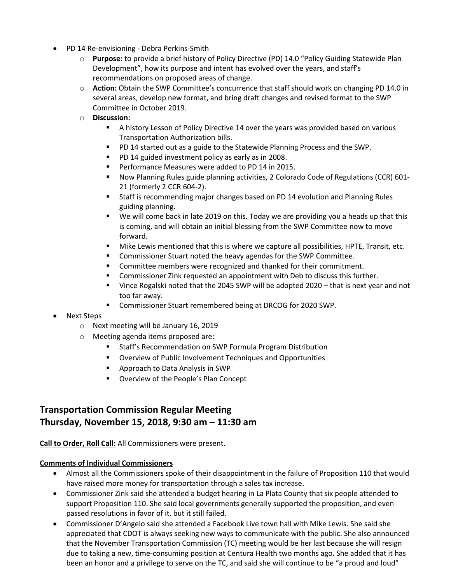- PD 14 Re-envisioning Debra Perkins-Smith
	- o **Purpose:** to provide a brief history of Policy Directive (PD) 14.0 "Policy Guiding Statewide Plan Development", how its purpose and intent has evolved over the years, and staff's recommendations on proposed areas of change.
	- o **Action:** Obtain the SWP Committee's concurrence that staff should work on changing PD 14.0 in several areas, develop new format, and bring draft changes and revised format to the SWP Committee in October 2019.
	- o **Discussion:**
		- A history Lesson of Policy Directive 14 over the years was provided based on various Transportation Authorization bills.
		- **PD 14 started out as a guide to the Statewide Planning Process and the SWP.**
		- **PD 14 guided investment policy as early as in 2008.**
		- **Performance Measures were added to PD 14 in 2015.**
		- Now Planning Rules guide planning activities, 2 Colorado Code of Regulations (CCR) 601- 21 (formerly 2 CCR 604-2).
		- Staff is recommending major changes based on PD 14 evolution and Planning Rules guiding planning.
		- We will come back in late 2019 on this. Today we are providing you a heads up that this is coming, and will obtain an initial blessing from the SWP Committee now to move forward.
		- Mike Lewis mentioned that this is where we capture all possibilities, HPTE, Transit, etc.
		- Commissioner Stuart noted the heavy agendas for the SWP Committee.
		- Committee members were recognized and thanked for their commitment.
		- **EXECOMMISSIONER COMMISSIONER 21 IN EXECUTE A** commissioner Zink requested an appointment with Deb to discuss this further.
		- Vince Rogalski noted that the 2045 SWP will be adopted 2020 that is next year and not too far away.
		- Commissioner Stuart remembered being at DRCOG for 2020 SWP.
- Next Steps
	- o Next meeting will be January 16, 2019
	- o Meeting agenda items proposed are:
		- Staff's Recommendation on SWP Formula Program Distribution
		- Overview of Public Involvement Techniques and Opportunities
		- **Approach to Data Analysis in SWP**
		- **Overview of the People's Plan Concept**

# **Transportation Commission Regular Meeting Thursday, November 15, 2018, 9:30 am – 11:30 am**

#### **Call to Order, Roll Call:** All Commissioners were present.

#### **Comments of Individual Commissioners**

- Almost all the Commissioners spoke of their disappointment in the failure of Proposition 110 that would have raised more money for transportation through a sales tax increase.
- Commissioner Zink said she attended a budget hearing in La Plata County that six people attended to support Proposition 110. She said local governments generally supported the proposition, and even passed resolutions in favor of it, but it still failed.
- Commissioner D'Angelo said she attended a Facebook Live town hall with Mike Lewis. She said she appreciated that CDOT is always seeking new ways to communicate with the public. She also announced that the November Transportation Commission (TC) meeting would be her last because she will resign due to taking a new, time-consuming position at Centura Health two months ago. She added that it has been an honor and a privilege to serve on the TC, and said she will continue to be "a proud and loud"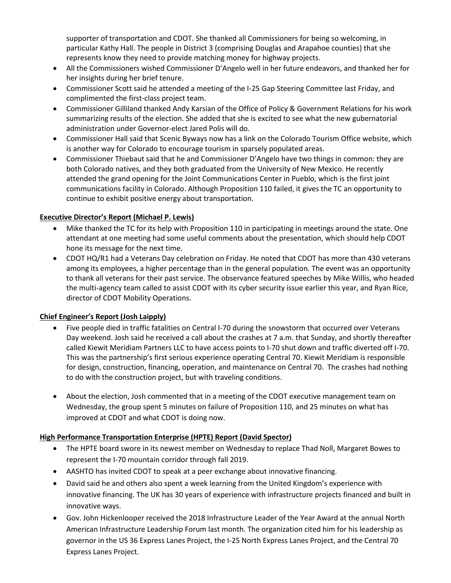supporter of transportation and CDOT. She thanked all Commissioners for being so welcoming, in particular Kathy Hall. The people in District 3 (comprising Douglas and Arapahoe counties) that she represents know they need to provide matching money for highway projects.

- All the Commissioners wished Commissioner D'Angelo well in her future endeavors, and thanked her for her insights during her brief tenure.
- Commissioner Scott said he attended a meeting of the I-25 Gap Steering Committee last Friday, and complimented the first-class project team.
- Commissioner Gilliland thanked Andy Karsian of the Office of Policy & Government Relations for his work summarizing results of the election. She added that she is excited to see what the new gubernatorial administration under Governor-elect Jared Polis will do.
- Commissioner Hall said that Scenic Byways now has a link on the Colorado Tourism Office website, which is another way for Colorado to encourage tourism in sparsely populated areas.
- Commissioner Thiebaut said that he and Commissioner D'Angelo have two things in common: they are both Colorado natives, and they both graduated from the University of New Mexico. He recently attended the grand opening for the Joint Communications Center in Pueblo, which is the first joint communications facility in Colorado. Although Proposition 110 failed, it gives the TC an opportunity to continue to exhibit positive energy about transportation.

# **Executive Director's Report (Michael P. Lewis)**

- Mike thanked the TC for its help with Proposition 110 in participating in meetings around the state. One attendant at one meeting had some useful comments about the presentation, which should help CDOT hone its message for the next time.
- CDOT HQ/R1 had a Veterans Day celebration on Friday. He noted that CDOT has more than 430 veterans among its employees, a higher percentage than in the general population. The event was an opportunity to thank all veterans for their past service. The observance featured speeches by Mike Willis, who headed the multi-agency team called to assist CDOT with its cyber security issue earlier this year, and Ryan Rice, director of CDOT Mobility Operations.

# **Chief Engineer's Report (Josh Laipply)**

- Five people died in traffic fatalities on Central I-70 during the snowstorm that occurred over Veterans Day weekend. Josh said he received a call about the crashes at 7 a.m. that Sunday, and shortly thereafter called Kiewit Meridiam Partners LLC to have access points to I-70 shut down and traffic diverted off I-70. This was the partnership's first serious experience operating Central 70. Kiewit Meridiam is responsible for design, construction, financing, operation, and maintenance on Central 70. The crashes had nothing to do with the construction project, but with traveling conditions.
- About the election, Josh commented that in a meeting of the CDOT executive management team on Wednesday, the group spent 5 minutes on failure of Proposition 110, and 25 minutes on what has improved at CDOT and what CDOT is doing now.

# **High Performance Transportation Enterprise (HPTE) Report (David Spector)**

- The HPTE board swore in its newest member on Wednesday to replace Thad Noll, Margaret Bowes to represent the I-70 mountain corridor through fall 2019.
- AASHTO has invited CDOT to speak at a peer exchange about innovative financing.
- David said he and others also spent a week learning from the United Kingdom's experience with innovative financing. The UK has 30 years of experience with infrastructure projects financed and built in innovative ways.
- Gov. John Hickenlooper received the 2018 Infrastructure Leader of the Year Award at the annual North American Infrastructure Leadership Forum last month. The organization cited him for his leadership as governor in the US 36 Express Lanes Project, the I-25 North Express Lanes Project, and the Central 70 Express Lanes Project.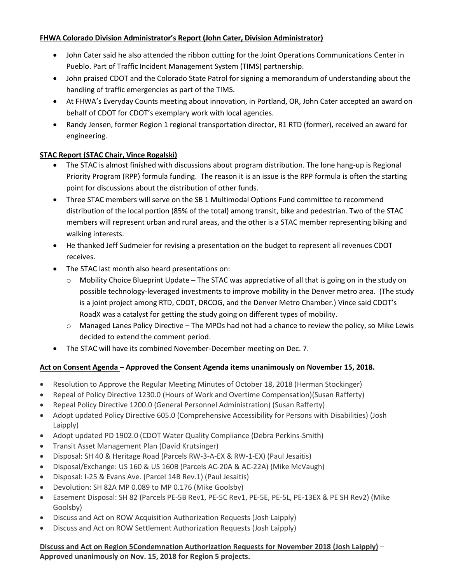# **FHWA Colorado Division Administrator's Report (John Cater, Division Administrator)**

- John Cater said he also attended the ribbon cutting for the Joint Operations Communications Center in Pueblo. Part of Traffic Incident Management System (TIMS) partnership.
- John praised CDOT and the Colorado State Patrol for signing a memorandum of understanding about the handling of traffic emergencies as part of the TIMS.
- At FHWA's Everyday Counts meeting about innovation, in Portland, OR, John Cater accepted an award on behalf of CDOT for CDOT's exemplary work with local agencies.
- Randy Jensen, former Region 1 regional transportation director, R1 RTD (former), received an award for engineering.

# **STAC Report (STAC Chair, Vince Rogalski)**

- The STAC is almost finished with discussions about program distribution. The lone hang-up is Regional Priority Program (RPP) formula funding. The reason it is an issue is the RPP formula is often the starting point for discussions about the distribution of other funds.
- Three STAC members will serve on the SB 1 Multimodal Options Fund committee to recommend distribution of the local portion (85% of the total) among transit, bike and pedestrian. Two of the STAC members will represent urban and rural areas, and the other is a STAC member representing biking and walking interests.
- He thanked Jeff Sudmeier for revising a presentation on the budget to represent all revenues CDOT receives.
- The STAC last month also heard presentations on:
	- $\circ$  Mobility Choice Blueprint Update The STAC was appreciative of all that is going on in the study on possible technology-leveraged investments to improve mobility in the Denver metro area. (The study is a joint project among RTD, CDOT, DRCOG, and the Denver Metro Chamber.) Vince said CDOT's RoadX was a catalyst for getting the study going on different types of mobility.
	- $\circ$  Managed Lanes Policy Directive The MPOs had not had a chance to review the policy, so Mike Lewis decided to extend the comment period.
- The STAC will have its combined November-December meeting on Dec. 7.

# **Act on Consent Agenda – Approved the Consent Agenda items unanimously on November 15, 2018.**

- Resolution to Approve the Regular Meeting Minutes of October 18, 2018 (Herman Stockinger)
- Repeal of Policy Directive 1230.0 (Hours of Work and Overtime Compensation)(Susan Rafferty)
- Repeal Policy Directive 1200.0 (General Personnel Administration) (Susan Rafferty)
- Adopt updated Policy Directive 605.0 (Comprehensive Accessibility for Persons with Disabilities) (Josh Laipply)
- Adopt updated PD 1902.0 (CDOT Water Quality Compliance (Debra Perkins-Smith)
- Transit Asset Management Plan (David Krutsinger)
- Disposal: SH 40 & Heritage Road (Parcels RW-3-A-EX & RW-1-EX) (Paul Jesaitis)
- Disposal/Exchange: US 160 & US 160B (Parcels AC-20A & AC-22A) (Mike McVaugh)
- Disposal: I-25 & Evans Ave. (Parcel 14B Rev.1) (Paul Jesaitis)
- Devolution: SH 82A MP 0.089 to MP 0.176 (Mike Goolsby)
- Easement Disposal: SH 82 (Parcels PE-5B Rev1, PE-5C Rev1, PE-5E, PE-5L, PE-13EX & PE SH Rev2) (Mike Goolsby)
- Discuss and Act on ROW Acquisition Authorization Requests (Josh Laipply)
- Discuss and Act on ROW Settlement Authorization Requests (Josh Laipply)

# **Discuss and Act on Region 5Condemnation Authorization Requests for November 2018 (Josh Laipply)** – **Approved unanimously on Nov. 15, 2018 for Region 5 projects.**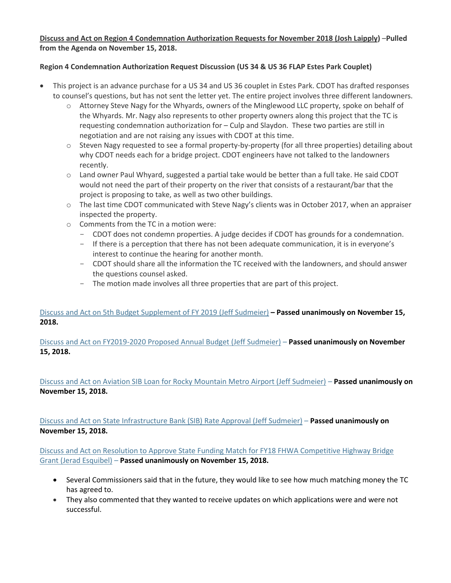# **Discuss and Act on Region 4 Condemnation Authorization Requests for November 2018 (Josh Laipply)** –**Pulled from the Agenda on November 15, 2018.**

# **Region 4 Condemnation Authorization Request Discussion (US 34 & US 36 FLAP Estes Park Couplet)**

- This project is an advance purchase for a US 34 and US 36 couplet in Estes Park. CDOT has drafted responses to counsel's questions, but has not sent the letter yet. The entire project involves three different landowners.
	- o Attorney Steve Nagy for the Whyards, owners of the Minglewood LLC property, spoke on behalf of the Whyards. Mr. Nagy also represents to other property owners along this project that the TC is requesting condemnation authorization for – Culp and Slaydon. These two parties are still in negotiation and are not raising any issues with CDOT at this time.
	- o Steven Nagy requested to see a formal property-by-property (for all three properties) detailing about why CDOT needs each for a bridge project. CDOT engineers have not talked to the landowners recently.
	- o Land owner Paul Whyard, suggested a partial take would be better than a full take. He said CDOT would not need the part of their property on the river that consists of a restaurant/bar that the project is proposing to take, as well as two other buildings.
	- o The last time CDOT communicated with Steve Nagy's clients was in October 2017, when an appraiser inspected the property.
	- o Comments from the TC in a motion were:
		- CDOT does not condemn properties. A judge decides if CDOT has grounds for a condemnation.
		- If there is a perception that there has not been adequate communication, it is in everyone's interest to continue the hearing for another month.
		- CDOT should share all the information the TC received with the landowners, and should answer the questions counsel asked.
		- The motion made involves all three properties that are part of this project.

# [Discuss and Act on 5th Budget Supplement of FY 2019](https://www.codot.gov/about/transportation-commission/documents/2018-agendas-and-supporting-documents/november-2018-1/10-5th-bud-sup.pdf) (Jeff Sudmeier) **– Passed unanimously on November 15, 2018.**

[Discuss and Act on FY2019-2020 Proposed Annual Budget \(Jeff Sudmeier\)](https://www.codot.gov/about/transportation-commission/documents/2018-agendas-and-supporting-documents/november-2018-1/4-budget-workshop.pdf) – **Passed unanimously on November 15, 2018.**

[Discuss and Act on Aviation SIB Loan for Rocky Mountain Metro Airport \(Jeff Sudmeier\)](https://www.codot.gov/about/transportation-commission/documents/2018-agendas-and-supporting-documents/november-2018-1/11-sib-loan.pdf) – **Passed unanimously on November 15, 2018.**

Discuss and Act on [State Infrastructure Bank \(SIB\) Rate Approval](https://www.codot.gov/about/transportation-commission/documents/2018-agendas-and-supporting-documents/november-2018-1/12-sib-rate.pdf) (Jeff Sudmeier) – **Passed unanimously on November 15, 2018.**

Discuss and [Act on Resolution to Approve State Funding Match for FY18 FHWA Competitive Highway Bridge](https://www.codot.gov/about/transportation-commission/documents/2018-agendas-and-supporting-documents/november-2018-1/13-fhwa-bridge-grant.pdf)  [Grant \(Jerad Esquibel\)](https://www.codot.gov/about/transportation-commission/documents/2018-agendas-and-supporting-documents/november-2018-1/13-fhwa-bridge-grant.pdf) – **Passed unanimously on November 15, 2018.**

- Several Commissioners said that in the future, they would like to see how much matching money the TC has agreed to.
- They also commented that they wanted to receive updates on which applications were and were not successful.